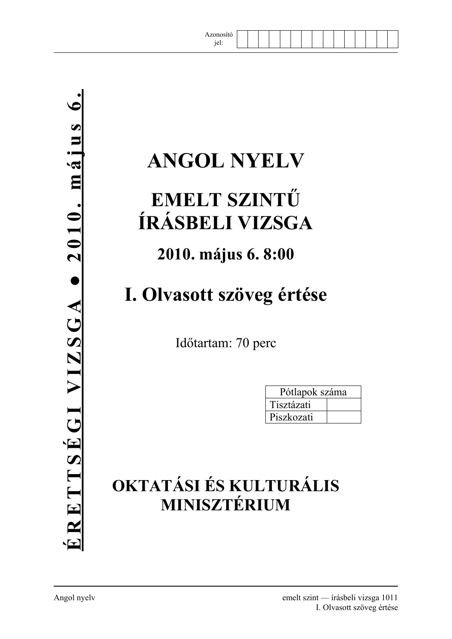| 2000044<br>AZOIIOS!<br>πw |  |  |  |  |  |  |  |  |  |  |  |  |  |  |  |
|---------------------------|--|--|--|--|--|--|--|--|--|--|--|--|--|--|--|
|---------------------------|--|--|--|--|--|--|--|--|--|--|--|--|--|--|--|

# **ANGOL NYELV**

## **EMELT SZINTŰ ÍRÁSBELI VIZSGA**

### **2010. május 6. 8:00**

## **I. Olvasott szöveg értése**

Időtartam: 70 perc

| Pótlapok száma |  |
|----------------|--|
| Tisztázati     |  |
| Piszkozati     |  |

## **OKTATÁSI ÉS KULTURÁLIS MINISZTÉRIUM**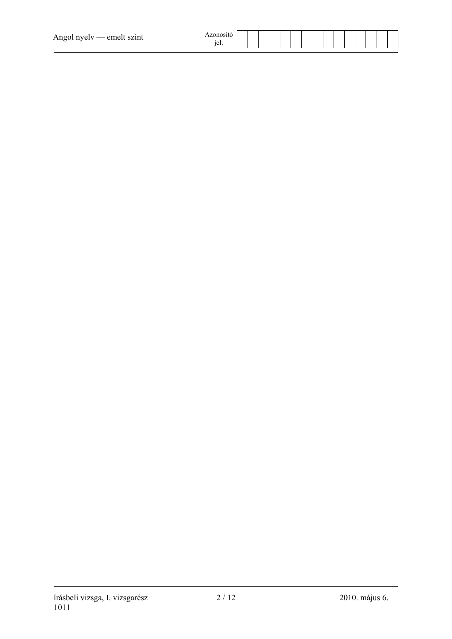| onosito<br>emelt szint<br>Angol nyelv —<br><sub>1el</sub> |  |  |  |
|-----------------------------------------------------------|--|--|--|
|-----------------------------------------------------------|--|--|--|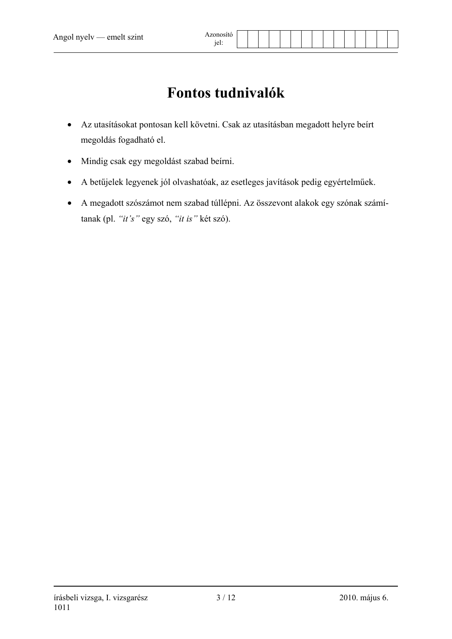### **Fontos tudnivalók**

- Az utasításokat pontosan kell követni. Csak az utasításban megadott helyre beírt megoldás fogadható el.
- Mindig csak egy megoldást szabad beírni.
- A betűjelek legyenek jól olvashatóak, az esetleges javítások pedig egyértelműek.
- A megadott szószámot nem szabad túllépni. Az összevont alakok egy szónak számítanak (pl. *"it's"* egy szó, *"it is"* két szó).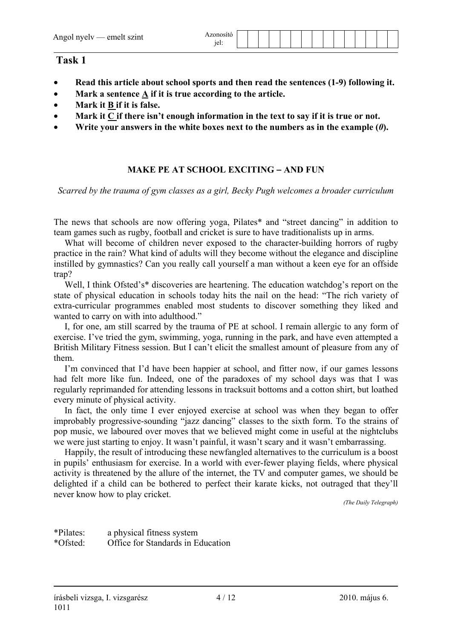| iel: | Angol nyelv<br>emelt szint<br>$\overline{\phantom{a}}$ | zonosito |  |  |  |  |  |  |  |  |  |  |  |  |  |  |  |
|------|--------------------------------------------------------|----------|--|--|--|--|--|--|--|--|--|--|--|--|--|--|--|
|------|--------------------------------------------------------|----------|--|--|--|--|--|--|--|--|--|--|--|--|--|--|--|

- **Read this article about school sports and then read the sentences (1-9) following it.**
- **Mark a sentence**  $\underline{A}$  **if it is true according to the article.**
- **Mark it B if it is false.**
- **Mark it C if there isn't enough information in the text to say if it is true or not.**
- **Write your answers in the white boxes next to the numbers as in the example (***0***).**

#### **MAKE PE AT SCHOOL EXCITING** − **AND FUN**

*Scarred by the trauma of gym classes as a girl, Becky Pugh welcomes a broader curriculum* 

The news that schools are now offering yoga, Pilates\* and "street dancing" in addition to team games such as rugby, football and cricket is sure to have traditionalists up in arms.

What will become of children never exposed to the character-building horrors of rugby practice in the rain? What kind of adults will they become without the elegance and discipline instilled by gymnastics? Can you really call yourself a man without a keen eye for an offside trap?

Well, I think Ofsted's\* discoveries are heartening. The education watchdog's report on the state of physical education in schools today hits the nail on the head: "The rich variety of extra-curricular programmes enabled most students to discover something they liked and wanted to carry on with into adulthood."

I, for one, am still scarred by the trauma of PE at school. I remain allergic to any form of exercise. I've tried the gym, swimming, yoga, running in the park, and have even attempted a British Military Fitness session. But I can't elicit the smallest amount of pleasure from any of them.

I'm convinced that I'd have been happier at school, and fitter now, if our games lessons had felt more like fun. Indeed, one of the paradoxes of my school days was that I was regularly reprimanded for attending lessons in tracksuit bottoms and a cotton shirt, but loathed every minute of physical activity.

In fact, the only time I ever enjoyed exercise at school was when they began to offer improbably progressive-sounding "jazz dancing" classes to the sixth form. To the strains of pop music, we laboured over moves that we believed might come in useful at the nightclubs we were just starting to enjoy. It wasn't painful, it wasn't scary and it wasn't embarrassing.

Happily, the result of introducing these newfangled alternatives to the curriculum is a boost in pupils' enthusiasm for exercise. In a world with ever-fewer playing fields, where physical activity is threatened by the allure of the internet, the TV and computer games, we should be delighted if a child can be bothered to perfect their karate kicks, not outraged that they'll never know how to play cricket.

*(The Daily Telegraph)* 

\*Pilates: a physical fitness system \*Ofsted: Office for Standards in Education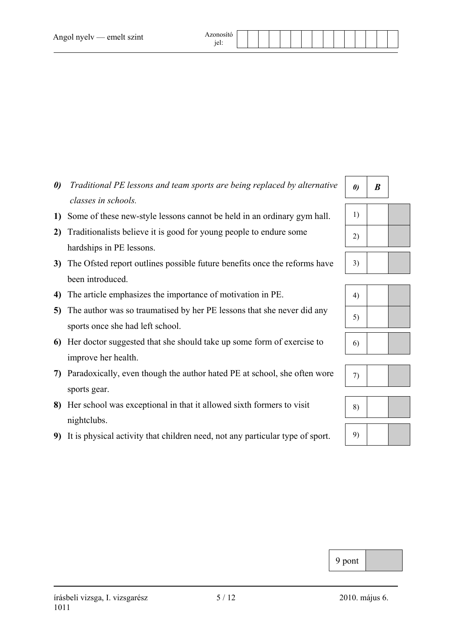*0) Traditional PE lessons and team sports are being replaced by alternative classes in schools.* 

jel:

- **1)** Some of these new-style lessons cannot be held in an ordinary gym hall.
- **2)** Traditionalists believe it is good for young people to endure some hardships in PE lessons.
- **3)** The Ofsted report outlines possible future benefits once the reforms have been introduced.
- **4)** The article emphasizes the importance of motivation in PE.
- **5)** The author was so traumatised by her PE lessons that she never did any sports once she had left school.
- **6)** Her doctor suggested that she should take up some form of exercise to improve her health.
- **7)** Paradoxically, even though the author hated PE at school, she often wore sports gear.
- **8)** Her school was exceptional in that it allowed sixth formers to visit nightclubs.
- **9)** It is physical activity that children need, not any particular type of sport.

# *0) B*

3)









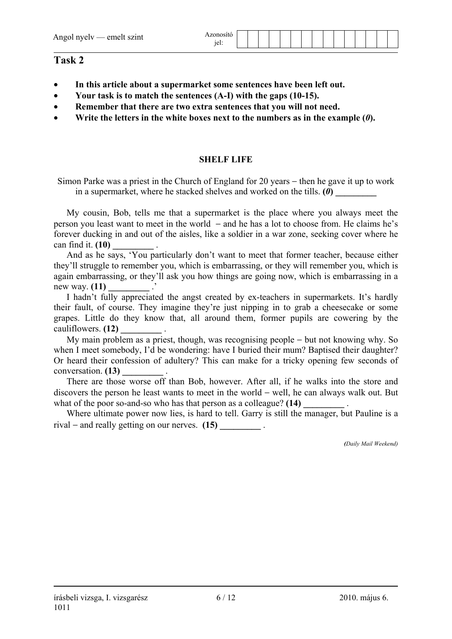

- **In this article about a supermarket some sentences have been left out.**
- **Your task is to match the sentences (A-I) with the gaps (10-15).**
- **Remember that there are two extra sentences that you will not need.**
- **Write the letters in the white boxes next to the numbers as in the example (***0***).**

#### **SHELF LIFE**

Simon Parke was a priest in the Church of England for 20 years − then he gave it up to work in a supermarket, where he stacked shelves and worked on the tills.  $(0)$ 

My cousin, Bob, tells me that a supermarket is the place where you always meet the person you least want to meet in the world − and he has a lot to choose from. He claims he's forever ducking in and out of the aisles, like a soldier in a war zone, seeking cover where he can find it. **(10) \_\_\_\_\_\_\_\_\_** .

And as he says, 'You particularly don't want to meet that former teacher, because either they'll struggle to remember you, which is embarrassing, or they will remember you, which is again embarrassing, or they'll ask you how things are going now, which is embarrassing in a new way. **(11)** 

I hadn't fully appreciated the angst created by ex-teachers in supermarkets. It's hardly their fault, of course. They imagine they're just nipping in to grab a cheesecake or some grapes. Little do they know that, all around them, former pupils are cowering by the cauliflowers. **(12) \_\_\_\_\_\_\_\_\_** .

My main problem as a priest, though, was recognising people − but not knowing why. So when I meet somebody, I'd be wondering: have I buried their mum? Baptised their daughter? Or heard their confession of adultery? This can make for a tricky opening few seconds of conversation. **(13) \_\_\_\_\_\_\_\_\_** .

There are those worse off than Bob, however. After all, if he walks into the store and discovers the person he least wants to meet in the world − well, he can always walk out. But what of the poor so-and-so who has that person as a colleague? **(14)** 

Where ultimate power now lies, is hard to tell. Garry is still the manager, but Pauline is a rival − and really getting on our nerves. **(15) \_\_\_\_\_\_\_\_\_** .

*(Daily Mail Weekend)*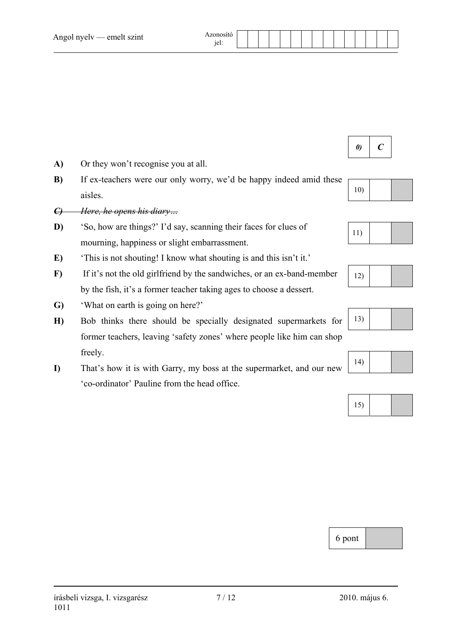- **A)** Or they won't recognise you at all.
- **B)** If ex-teachers were our only worry, we'd be happy indeed amid these aisles.

jel:

- *C) Here, he opens his diary…*
- **D)** 'So, how are things?' I'd say, scanning their faces for clues of mourning, happiness or slight embarrassment.
- **E)** 'This is not shouting! I know what shouting is and this isn't it.'
- **F)** If it's not the old girlfriend by the sandwiches, or an ex-band-member by the fish, it's a former teacher taking ages to choose a dessert.
- **G)** 'What on earth is going on here?'
- **H)** Bob thinks there should be specially designated supermarkets for former teachers, leaving 'safety zones' where people like him can shop freely.
- **I)** That's how it is with Garry, my boss at the supermarket, and our new 'co-ordinator' Pauline from the head office.

# $\boldsymbol{\theta}$   $\boldsymbol{C}$



| I I |  |  |
|-----|--|--|
|-----|--|--|

| 12) |  |  |
|-----|--|--|
|-----|--|--|

| . . |
|-----|
|-----|

| 14) |  |  |
|-----|--|--|
|-----|--|--|

| 1<br>$\ddot{\phantom{1}}$<br>r.<br> |  |
|-------------------------------------|--|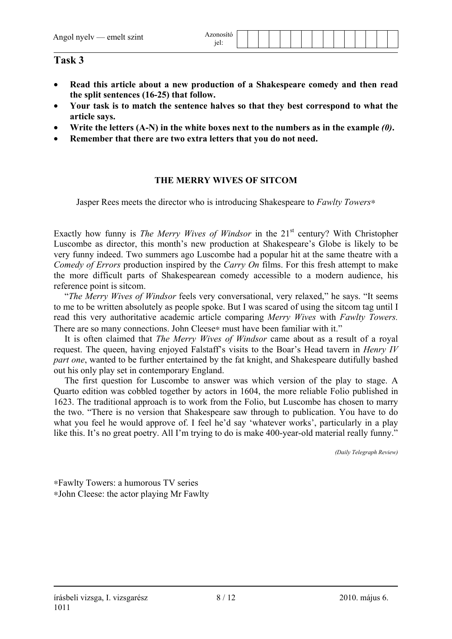| Azonosító |  |  |  |  |  |  |  |  |
|-----------|--|--|--|--|--|--|--|--|
|           |  |  |  |  |  |  |  |  |
|           |  |  |  |  |  |  |  |  |

- **Read this article about a new production of a Shakespeare comedy and then read the split sentences (16-25) that follow.**
- **Your task is to match the sentence halves so that they best correspond to what the article says.**
- Write the letters (A-N) in the white boxes next to the numbers as in the example  $(0)$ **.**
- **Remember that there are two extra letters that you do not need.**

#### **THE MERRY WIVES OF SITCOM**

Jasper Rees meets the director who is introducing Shakespeare to *Fawlty Towers*∗

Exactly how funny is *The Merry Wives of Windsor* in the 21<sup>st</sup> century? With Christopher Luscombe as director, this month's new production at Shakespeare's Globe is likely to be very funny indeed. Two summers ago Luscombe had a popular hit at the same theatre with a *Comedy of Errors* production inspired by the *Carry On* films. For this fresh attempt to make the more difficult parts of Shakespearean comedy accessible to a modern audience, his reference point is sitcom.

"*The Merry Wives of Windsor* feels very conversational, very relaxed," he says. "It seems to me to be written absolutely as people spoke. But I was scared of using the sitcom tag until I read this very authoritative academic article comparing *Merry Wives* with *Fawlty Towers.* There are so many connections. John Cleese∗ must have been familiar with it."

It is often claimed that *The Merry Wives of Windsor* came about as a result of a royal request. The queen, having enjoyed Falstaff's visits to the Boar's Head tavern in *Henry IV part one*, wanted to be further entertained by the fat knight, and Shakespeare dutifully bashed out his only play set in contemporary England.

The first question for Luscombe to answer was which version of the play to stage. A Quarto edition was cobbled together by actors in 1604, the more reliable Folio published in 1623. The traditional approach is to work from the Folio, but Luscombe has chosen to marry the two. "There is no version that Shakespeare saw through to publication. You have to do what you feel he would approve of. I feel he'd say 'whatever works', particularly in a play like this. It's no great poetry. All I'm trying to do is make 400-year-old material really funny."

 *(Daily Telegraph Review)* 

∗Fawlty Towers: a humorous TV series ∗John Cleese: the actor playing Mr Fawlty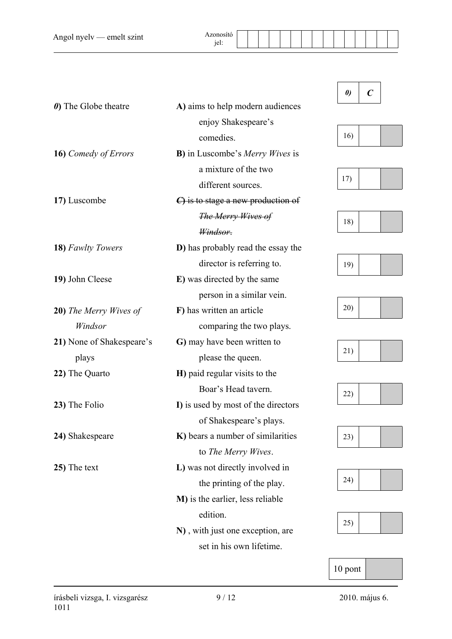| Angol nyelv — emelt szint | onosito<br>$\overline{1\Delta}$<br>ΙU. |  |  |  |  |  |  |  |  |
|---------------------------|----------------------------------------|--|--|--|--|--|--|--|--|
|                           |                                        |  |  |  |  |  |  |  |  |

|                           |                                                | $\boldsymbol{\theta}$ | $\boldsymbol{C}$ |  |
|---------------------------|------------------------------------------------|-----------------------|------------------|--|
| 0) The Globe theatre      | A) aims to help modern audiences               |                       |                  |  |
|                           | enjoy Shakespeare's                            |                       |                  |  |
|                           | comedies.                                      | 16)                   |                  |  |
| 16) Comedy of Errors      | <b>B</b> ) in Luscombe's <i>Merry Wives</i> is |                       |                  |  |
|                           | a mixture of the two                           | 17)                   |                  |  |
|                           | different sources.                             |                       |                  |  |
| 17) Luscombe              | $C$ ) is to stage a new production of          |                       |                  |  |
|                           | The Merry Wives of                             | 18)                   |                  |  |
|                           | Windsor.                                       |                       |                  |  |
| 18) Fawlty Towers         | D) has probably read the essay the             |                       |                  |  |
|                           | director is referring to.                      | 19)                   |                  |  |
| 19) John Cleese           | <b>E</b> ) was directed by the same            |                       |                  |  |
|                           | person in a similar vein.                      |                       |                  |  |
| 20) The Merry Wives of    | F) has written an article                      | 20)                   |                  |  |
| Windsor                   | comparing the two plays.                       |                       |                  |  |
| 21) None of Shakespeare's | G) may have been written to                    | 21)                   |                  |  |
| plays                     | please the queen.                              |                       |                  |  |
| 22) The Quarto            | H) paid regular visits to the                  |                       |                  |  |
|                           | Boar's Head tavern.                            | 22)                   |                  |  |
| 23) The Folio             | I) is used by most of the directors            |                       |                  |  |
|                           | of Shakespeare's plays.                        |                       |                  |  |
| 24) Shakespeare           | K) bears a number of similarities              | 23)                   |                  |  |
|                           | to The Merry Wives.                            |                       |                  |  |
| 25) The text              | L) was not directly involved in                |                       |                  |  |
|                           | the printing of the play.                      | 24)                   |                  |  |
|                           | M) is the earlier, less reliable               |                       |                  |  |
|                           | edition.                                       | 25)                   |                  |  |
|                           | N), with just one exception, are               |                       |                  |  |
|                           | set in his own lifetime.                       |                       |                  |  |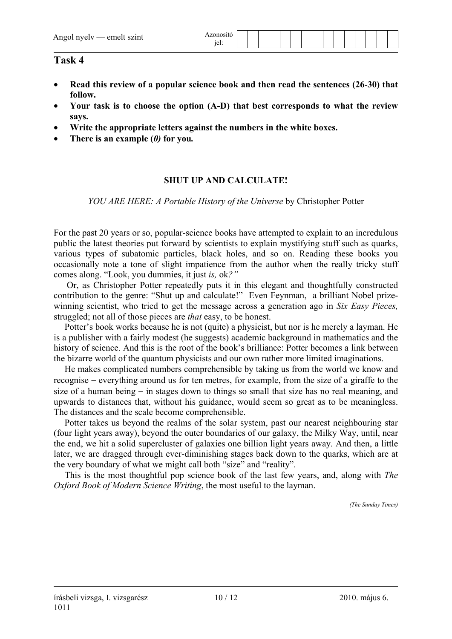| Azonosító             |  |  |  |  |  |  |  |  |
|-----------------------|--|--|--|--|--|--|--|--|
| $\cdot$<br>٦Δ.<br>UI. |  |  |  |  |  |  |  |  |
|                       |  |  |  |  |  |  |  |  |

- **Read this review of a popular science book and then read the sentences (26-30) that follow.**
- **Your task is to choose the option (A-D) that best corresponds to what the review says.**
- **Write the appropriate letters against the numbers in the white boxes.**
- **There is an example (***0)* **for you***.*

#### **SHUT UP AND CALCULATE!**

*YOU ARE HERE: A Portable History of the Universe* by Christopher Potter

For the past 20 years or so, popular-science books have attempted to explain to an incredulous public the latest theories put forward by scientists to explain mystifying stuff such as quarks, various types of subatomic particles, black holes, and so on. Reading these books you occasionally note a tone of slight impatience from the author when the really tricky stuff comes along. "Look, you dummies, it just *is,* ok*?"* 

Or, as Christopher Potter repeatedly puts it in this elegant and thoughtfully constructed contribution to the genre: "Shut up and calculate!" Even Feynman, a brilliant Nobel prizewinning scientist, who tried to get the message across a generation ago in *Six Easy Pieces,*  struggled; not all of those pieces are *that* easy, to be honest.

Potter's book works because he is not (quite) a physicist, but nor is he merely a layman. He is a publisher with a fairly modest (he suggests) academic background in mathematics and the history of science. And this is the root of the book's brilliance: Potter becomes a link between the bizarre world of the quantum physicists and our own rather more limited imaginations.

He makes complicated numbers comprehensible by taking us from the world we know and recognise − everything around us for ten metres, for example, from the size of a giraffe to the size of a human being − in stages down to things so small that size has no real meaning, and upwards to distances that, without his guidance, would seem so great as to be meaningless. The distances and the scale become comprehensible.

Potter takes us beyond the realms of the solar system, past our nearest neighbouring star (four light years away), beyond the outer boundaries of our galaxy, the Milky Way, until, near the end, we hit a solid supercluster of galaxies one billion light years away. And then, a little later, we are dragged through ever-diminishing stages back down to the quarks, which are at the very boundary of what we might call both "size" and "reality".

This is the most thoughtful pop science book of the last few years, and, along with *The Oxford Book of Modern Science Writing*, the most useful to the layman.

 *(The Sunday Times)*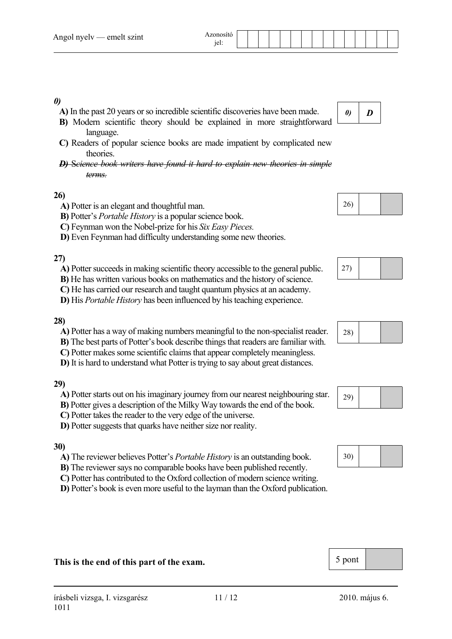

#### *0)*

**A)** In the past 20 years or so incredible scientific discoveries have been made.

- **B)** Modern scientific theory should be explained in more straightforward language.
- **C)** Readers of popular science books are made impatient by complicated new theories.
- *D)* S*cience book writers have found it hard to explain new theories in simple terms.*

#### **26)**

- **A)** Potter is an elegant and thoughtful man.
- **B)** Potter's *Portable History* is a popular science book.
- **C)** Feynman won the Nobel-prize for his *Six Easy Pieces.*
- **D)** Even Feynman had difficulty understanding some new theories.

#### **27)**

**A)** Potter succeeds in making scientific theory accessible to the general public.

**B)** He has written various books on mathematics and the history of science.

- **C)** He has carried our research and taught quantum physics at an academy.
- **D)** His *Portable History* has been influenced by his teaching experience.

#### **28)**

- **A)** Potter has a way of making numbers meaningful to the non-specialist reader.
- **B)** The best parts of Potter's book describe things that readers are familiar with.
- **C)** Potter makes some scientific claims that appear completely meaningless.
- **D)** It is hard to understand what Potter is trying to say about great distances.

#### **29)**

- **A)** Potter starts out on his imaginary journey from our nearest neighbouring star.
- **B)** Potter gives a description of the Milky Way towards the end of the book.
- **C)** Potter takes the reader to the very edge of the universe.
- **D)** Potter suggests that quarks have neither size nor reality.

#### **30)**

- **A)** The reviewer believes Potter's *Portable History* is an outstanding book.
- **B)** The reviewer says no comparable books have been published recently.
- **C)** Potter has contributed to the Oxford collection of modern science writing.
- **D)** Potter's book is even more useful to the layman than the Oxford publication.

#### **This is the end of this part of the exam.**



*0) D* 









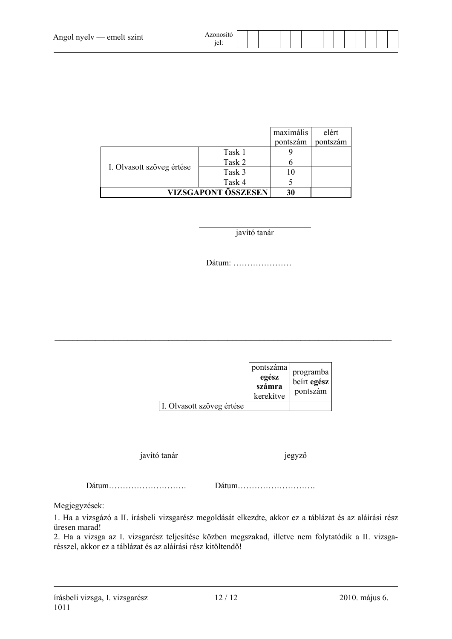

|                           |                     | maximális | elért    |
|---------------------------|---------------------|-----------|----------|
|                           |                     | pontszám  | pontszám |
|                           | Task 1              |           |          |
|                           | Task 2              |           |          |
| I. Olvasott szöveg értése | Task 3              |           |          |
|                           | Task 4              |           |          |
|                           | VIZSGAPONT ÖSSZESEN | 30        |          |

javító tanár

Dátum: …………………

|                           | pontszáma<br>egész<br>számra<br>kerekítve | programba<br>beirt egész<br>pontszám |
|---------------------------|-------------------------------------------|--------------------------------------|
| I. Olvasott szöveg értése |                                           |                                      |

\_\_\_\_\_\_\_\_\_\_\_\_\_\_\_\_\_\_\_\_\_\_\_\_\_\_\_\_\_\_\_\_\_\_\_\_\_\_\_\_\_\_\_\_\_\_\_\_\_\_\_\_\_\_\_\_\_\_\_\_\_\_\_\_\_\_\_\_\_\_\_\_\_\_

javító tanár jegyző

Dátum………………………. Dátum……………………….

Megjegyzések:

1. Ha a vizsgázó a II. írásbeli vizsgarész megoldását elkezdte, akkor ez a táblázat és az aláírási rész üresen marad!

2. Ha a vizsga az I. vizsgarész teljesítése közben megszakad, illetve nem folytatódik a II. vizsgarésszel, akkor ez a táblázat és az aláírási rész kitöltendő!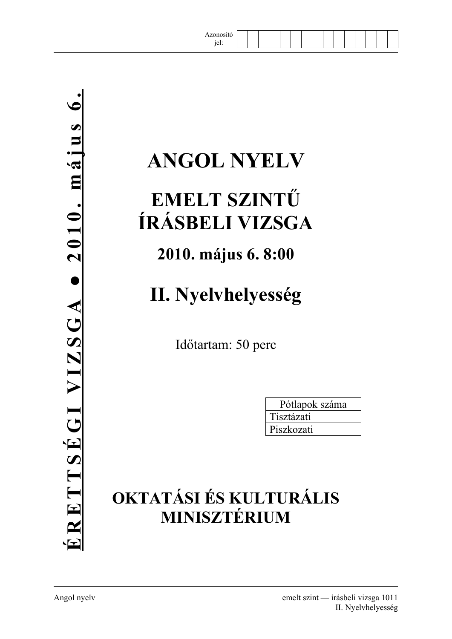| Azonosító<br>٠<br>vı. |
|-----------------------|
|-----------------------|

# **ANGOL NYELV**

## **EMELT SZINTŰ ÍRÁSBELI VIZSGA**

## **2010. május 6. 8:00**

## **II. Nyelvhelyesség**

Időtartam: 50 perc

| Pótlapok száma |
|----------------|
| Tisztázati     |
| Piszkozati     |

## **OKTATÁSI ÉS KULTURÁLIS MINISZTÉRIUM**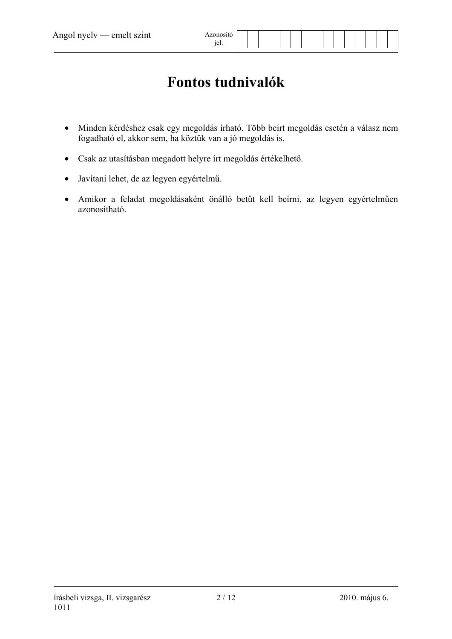### **Fontos tudnivalók**

- Minden kérdéshez csak egy megoldás írható. Több beírt megoldás esetén a válasz nem fogadható el, akkor sem, ha köztük van a jó megoldás is.
- Csak az utasításban megadott helyre írt megoldás értékelhető.
- Javítani lehet, de az legyen egyértelmű.
- Amikor a feladat megoldásaként önálló betűt kell beírni, az legyen egyértelműen azonosítható.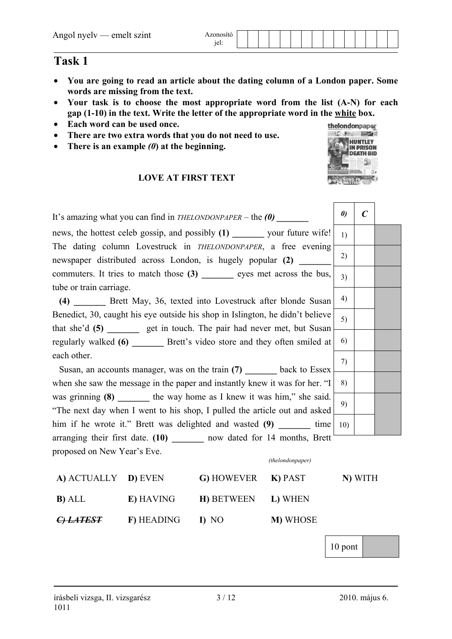| Azonosító                |  |  |  |  |  |  |  |  |
|--------------------------|--|--|--|--|--|--|--|--|
| $\cdot$<br>$\sim$<br>vı. |  |  |  |  |  |  |  |  |
|                          |  |  |  |  |  |  |  |  |

- **You are going to read an article about the dating column of a London paper. Some words are missing from the text.**
- **Your task is to choose the most appropriate word from the list (A-N) for each gap (1-10) in the text. Write the letter of the appropriate word in the white box.**
- **Each word can be used once.**
- **There are two extra words that you do not need to use.**
- **There is an example** *(0***) at the beginning.**

#### **LOVE AT FIRST TEXT**



| It's amazing what you can find in <i>THELONDONPAPER</i> – the $(0)$           | $\boldsymbol{\theta}$ | $\boldsymbol{C}$ |  |
|-------------------------------------------------------------------------------|-----------------------|------------------|--|
| news, the hottest celeb gossip, and possibly (1) ________ your future wife!   | 1)                    |                  |  |
| The dating column Lovestruck in <i>THELONDONPAPER</i> , a free evening        |                       |                  |  |
| newspaper distributed across London, is hugely popular (2)                    | 2)                    |                  |  |
| commuters. It tries to match those $(3)$ <u>eyes</u> met across the bus,      | 3)                    |                  |  |
| tube or train carriage.                                                       |                       |                  |  |
| (4) _______ Brett May, 36, texted into Lovestruck after blonde Susan          | 4)                    |                  |  |
| Benedict, 30, caught his eye outside his shop in Islington, he didn't believe | 5)                    |                  |  |
| that she'd (5) ________ get in touch. The pair had never met, but Susan       |                       |                  |  |
| regularly walked (6) _______ Brett's video store and they often smiled at     | 6)                    |                  |  |
| each other.                                                                   |                       |                  |  |
| Susan, an accounts manager, was on the train (7) ________ back to Essex       | 7)                    |                  |  |
| when she saw the message in the paper and instantly knew it was for her. "I   | 8)                    |                  |  |
| was grinning $(8)$ ________ the way home as I knew it was him," she said.     |                       |                  |  |
| "The next day when I went to his shop, I pulled the article out and asked     | 9                     |                  |  |
| him if he wrote it." Brett was delighted and wasted (9) ________ time         | 10)                   |                  |  |
| expansive their first data (10) now dated for 14 months Drott                 |                       |                  |  |

arranging their first date. **(10) \_\_\_\_\_\_\_** now dated for 14 months, Brett proposed on New Year's Eve.

*(thelondonpaper)* 

| A) ACTUALLY D) EVEN  |            | G HOWEVER K PAST |                  | N) WITH |
|----------------------|------------|------------------|------------------|---------|
| B) ALL               | E) HAVING  | H BETWEEN L WHEN |                  |         |
| <del>C) LATEST</del> | F) HEADING | I) NO            | <b>M</b> ) WHOSE |         |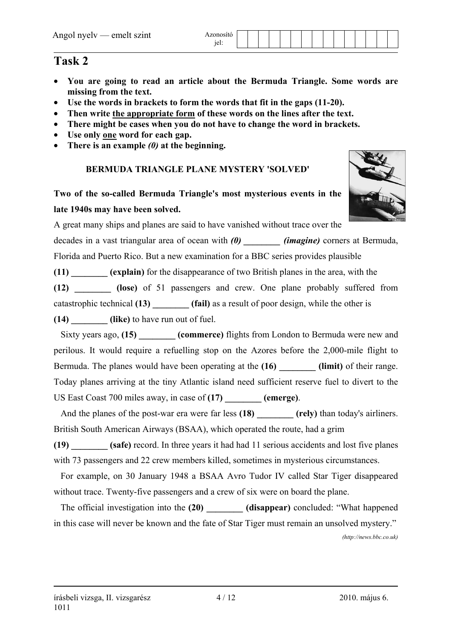| Azonosító     |  |  |  |  |  |  |  |  |
|---------------|--|--|--|--|--|--|--|--|
| $\sim$<br>vı. |  |  |  |  |  |  |  |  |
|               |  |  |  |  |  |  |  |  |

- **You are going to read an article about the Bermuda Triangle. Some words are missing from the text.**
- **Use the words in brackets to form the words that fit in the gaps (11-20).**
- **Then write the appropriate form of these words on the lines after the text.**
- **There might be cases when you do not have to change the word in brackets.**
- **Use only one word for each gap.**
- **There is an example** *(0)* **at the beginning.**

#### **BERMUDA TRIANGLE PLANE MYSTERY 'SOLVED'**

#### **Two of the so-called Bermuda Triangle's most mysterious events in the late 1940s may have been solved.**



A great many ships and planes are said to have vanished without trace over the

decades in a vast triangular area of ocean with *(0) \_\_\_\_\_\_\_\_ (imagine)* corners at Bermuda,

Florida and Puerto Rico. But a new examination for a BBC series provides plausible

**(11) \_\_\_\_\_\_\_\_ (explain)** for the disappearance of two British planes in the area, with the

**(12) \_\_\_\_\_\_\_\_ (lose)** of 51 passengers and crew. One plane probably suffered from catastrophic technical **(13) \_\_\_\_\_\_\_\_ (fail)** as a result of poor design, while the other is

**(14) \_\_\_\_\_\_\_\_ (like)** to have run out of fuel.

 Sixty years ago, **(15) \_\_\_\_\_\_\_\_ (commerce)** flights from London to Bermuda were new and perilous. It would require a refuelling stop on the Azores before the 2,000-mile flight to Bermuda. The planes would have been operating at the (16) (limit) of their range. Today planes arriving at the tiny Atlantic island need sufficient reserve fuel to divert to the US East Coast 700 miles away, in case of (17) **(emerge)**.

And the planes of the post-war era were far less (18) **(rely)** than today's airliners. British South American Airways (BSAA), which operated the route, had a grim

**(19) \_\_\_\_\_\_\_\_ (safe)** record. In three years it had had 11 serious accidents and lost five planes with 73 passengers and 22 crew members killed, sometimes in mysterious circumstances.

 For example, on 30 January 1948 a BSAA Avro Tudor IV called Star Tiger disappeared without trace. Twenty-five passengers and a crew of six were on board the plane.

 The official investigation into the **(20) \_\_\_\_\_\_\_\_ (disappear)** concluded: "What happened in this case will never be known and the fate of Star Tiger must remain an unsolved mystery."

*(http://news.bbc.co.uk)*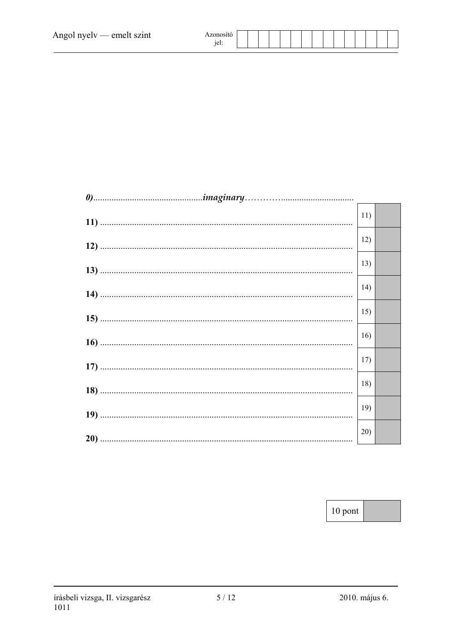| Angol nyelv — emelt szint | zonosito<br>$1^{\circ}$<br>IVI. |  |  |  |  |  |  |  |  |  |  |  |  |  |  |
|---------------------------|---------------------------------|--|--|--|--|--|--|--|--|--|--|--|--|--|--|
|---------------------------|---------------------------------|--|--|--|--|--|--|--|--|--|--|--|--|--|--|

| 11) |  |
|-----|--|
| 12) |  |
| 13) |  |
| 14) |  |
| 15) |  |
| 16) |  |
| 17) |  |
| 18) |  |
| 19) |  |
| 20) |  |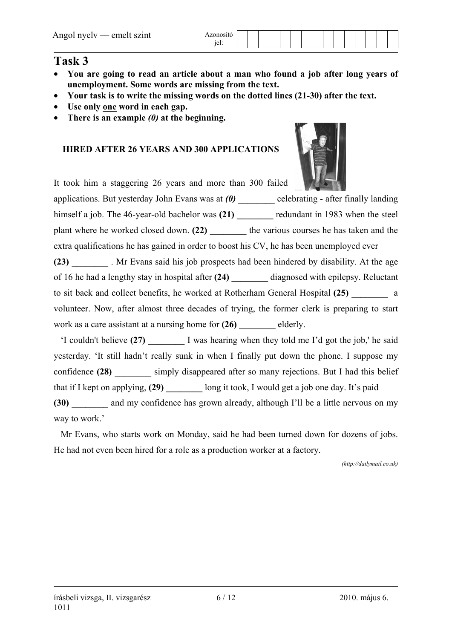| Azonosító                |  |  |  |  |  |  |  |  |
|--------------------------|--|--|--|--|--|--|--|--|
| ٠<br>$\mathbf{1}$<br>.v. |  |  |  |  |  |  |  |  |
|                          |  |  |  |  |  |  |  |  |

- **You are going to read an article about a man who found a job after long years of unemployment. Some words are missing from the text.**
- **Your task is to write the missing words on the dotted lines (21-30) after the text.**
- **Use only one word in each gap.**
- **There is an example** *(0)* **at the beginning.**

#### **HIRED AFTER 26 YEARS AND 300 APPLICATIONS**



It took him a staggering 26 years and more than 300 failed

applications. But yesterday John Evans was at *(0)* **\_\_\_\_\_\_\_\_** celebrating - after finally landing himself a job. The 46-year-old bachelor was (21) redundant in 1983 when the steel plant where he worked closed down. **(22) \_\_\_\_\_\_\_\_** the various courses he has taken and the extra qualifications he has gained in order to boost his CV, he has been unemployed ever

**(23) \_\_\_\_\_\_\_\_** . Mr Evans said his job prospects had been hindered by disability. At the age of 16 he had a lengthy stay in hospital after **(24) \_\_\_\_\_\_\_\_** diagnosed with epilepsy. Reluctant to sit back and collect benefits, he worked at Rotherham General Hospital **(25) \_\_\_\_\_\_\_\_** a volunteer. Now, after almost three decades of trying, the former clerk is preparing to start work as a care assistant at a nursing home for  $(26)$  elderly.

 'I couldn't believe **(27) \_\_\_\_\_\_\_\_** I was hearing when they told me I'd got the job,' he said yesterday. 'It still hadn't really sunk in when I finally put down the phone. I suppose my confidence (28) **and simply disappeared after so many rejections. But I had this belief** that if I kept on applying, **(29) \_\_\_\_\_\_\_\_** long it took, I would get a job one day. It's paid **(30) \_\_\_\_\_\_\_\_** and my confidence has grown already, although I'll be a little nervous on my way to work.'

 Mr Evans, who starts work on Monday, said he had been turned down for dozens of jobs. He had not even been hired for a role as a production worker at a factory.

*(http://dailymail.co.uk)*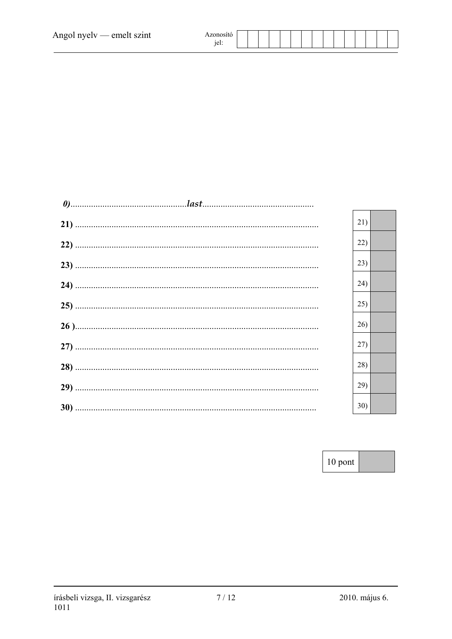| Angol nyelv — emelt szint | zonosito      |  |  |  |  |  |  |  |  |
|---------------------------|---------------|--|--|--|--|--|--|--|--|
|                           | $\sim$<br>lvı |  |  |  |  |  |  |  |  |

| 21) |  |
|-----|--|
| 22) |  |
| 23) |  |
| 24) |  |
| 25) |  |
| 26) |  |
| 27) |  |
| 28) |  |
| 29) |  |
| 30) |  |
|     |  |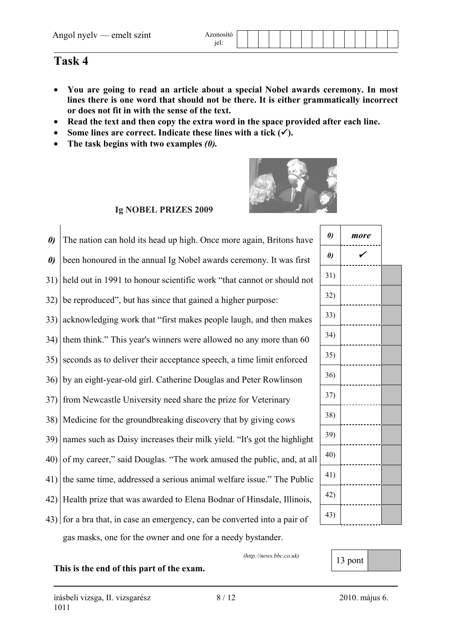| Azonosító                       |  |  |  |  |  |
|---------------------------------|--|--|--|--|--|
| $\mathbf{r}$<br>10 <sub>1</sub> |  |  |  |  |  |
| vı.                             |  |  |  |  |  |

- **You are going to read an article about a special Nobel awards ceremony. In most lines there is one word that should not be there. It is either grammatically incorrect or does not fit in with the sense of the text.**
- **Read the text and then copy the extra word in the space provided after each line.**
- Some lines are correct. Indicate these lines with a tick  $(\checkmark)$ .
- **The task begins with two examples** *(0).*



#### **Ig NOBEL PRIZES 2009**

| $\boldsymbol{\theta}$ | The nation can hold its head up high. Once more again, Britons have                                                                      | $\boldsymbol{\theta}$ | more |
|-----------------------|------------------------------------------------------------------------------------------------------------------------------------------|-----------------------|------|
| $\boldsymbol{\theta}$ | been honoured in the annual Ig Nobel awards ceremony. It was first                                                                       | $\boldsymbol{\theta}$ |      |
| 31)                   | held out in 1991 to honour scientific work "that cannot or should not                                                                    | 31)                   |      |
| 32)                   | be reproduced", but has since that gained a higher purpose:                                                                              | 32)                   |      |
| 33)                   | acknowledging work that "first makes people laugh, and then makes                                                                        | 33)                   |      |
| 34)                   | them think." This year's winners were allowed no any more than 60                                                                        | 34)                   |      |
| 35)                   | seconds as to deliver their acceptance speech, a time limit enforced                                                                     | 35)                   |      |
| 36)                   | by an eight-year-old girl. Catherine Douglas and Peter Rowlinson                                                                         | 36)                   |      |
| 37)                   | from Newcastle University need share the prize for Veterinary                                                                            | 37)                   |      |
| 38)                   | Medicine for the groundbreaking discovery that by giving cows                                                                            | 38)                   |      |
| 39)                   | names such as Daisy increases their milk yield. "It's got the highlight                                                                  | 39)                   |      |
| 40)                   |                                                                                                                                          | 40)                   |      |
|                       | of my career," said Douglas. "The work amused the public, and, at all                                                                    | 41)                   |      |
|                       | 41) the same time, addressed a serious animal welfare issue." The Public                                                                 | 42)                   |      |
| 42)                   | Health prize that was awarded to Elena Bodnar of Hinsdale, Illinois,                                                                     | 43)                   |      |
|                       | 43) for a bra that, in case an emergency, can be converted into a pair of<br>gas masks, one for the owner and one for a needy bystander. |                       |      |
|                       |                                                                                                                                          |                       |      |

 *(http://news.bbc.co.uk)* 

### This is the end of this part of the exam. **13 pont**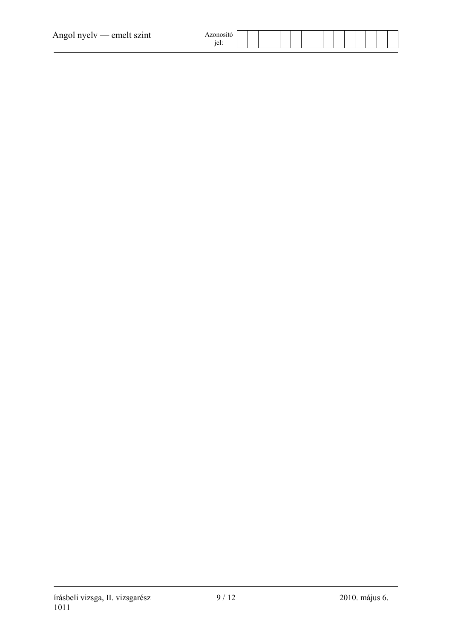| Angol nyelv — emelt szint | zonosito<br><sub>1el</sub> |  |  |  |  |  |  |  |
|---------------------------|----------------------------|--|--|--|--|--|--|--|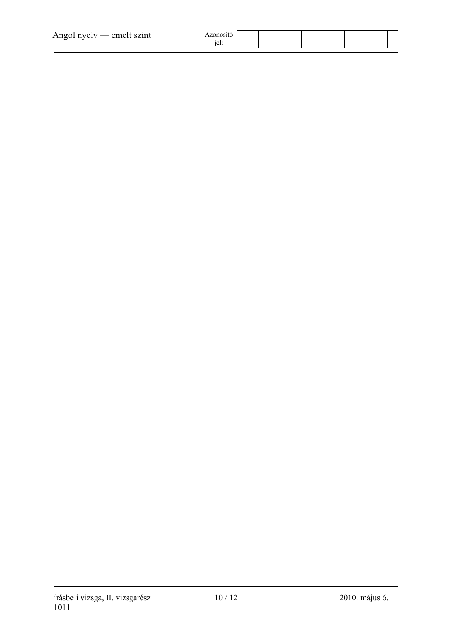| Angol nyelv — emelt szint | zonosito<br><sub>1el</sub> |  |  |  |  |  |  |  |
|---------------------------|----------------------------|--|--|--|--|--|--|--|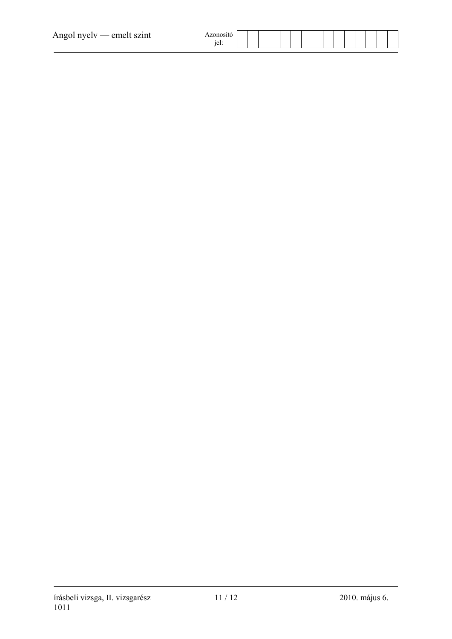| Angol nyelv — emelt szint | zonosito<br><sub>1el</sub> |  |  |  |  |  |  |  |
|---------------------------|----------------------------|--|--|--|--|--|--|--|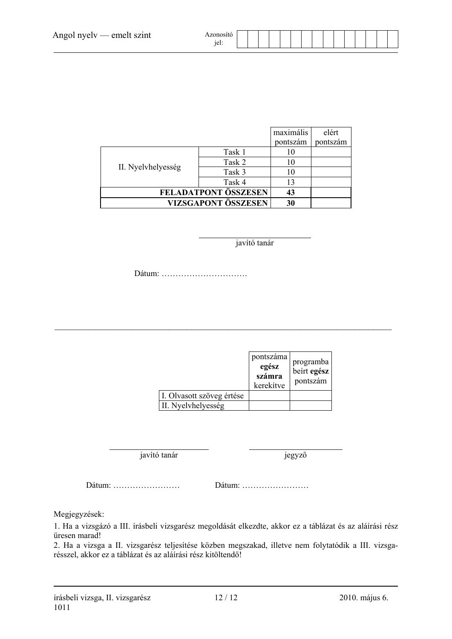

|  | maximális                    | elért    |          |  |  |  |  |
|--|------------------------------|----------|----------|--|--|--|--|
|  |                              | pontszám | pontszám |  |  |  |  |
|  | Task 1                       |          |          |  |  |  |  |
|  | Task 2<br>II. Nyelvhelyesség |          |          |  |  |  |  |
|  | Task 3                       | 10       |          |  |  |  |  |
|  | Task 4                       | 13       |          |  |  |  |  |
|  | FELADATPONT ÖSSZESEN         | 43       |          |  |  |  |  |
|  | VIZSGAPONT ÖSSZESEN          |          |          |  |  |  |  |

javító tanár

Dátum: ………………………….

|                           | pontszáma<br>egész<br>számra<br>kerekítve | programba<br>beirt egész<br>pontszám |
|---------------------------|-------------------------------------------|--------------------------------------|
| I. Olvasott szöveg értése |                                           |                                      |
| II. Nyelvhelyesség        |                                           |                                      |

\_\_\_\_\_\_\_\_\_\_\_\_\_\_\_\_\_\_\_\_\_\_\_\_\_\_\_\_\_\_\_\_\_\_\_\_\_\_\_\_\_\_\_\_\_\_\_\_\_\_\_\_\_\_\_\_\_\_\_\_\_\_\_\_\_\_\_\_\_\_\_\_\_\_

javító tanár jegyző

Dátum: …………………… Dátum: ……………………

Megjegyzések:

1. Ha a vizsgázó a III. írásbeli vizsgarész megoldását elkezdte, akkor ez a táblázat és az aláírási rész üresen marad!

2. Ha a vizsga a II. vizsgarész teljesítése közben megszakad, illetve nem folytatódik a III. vizsgarésszel, akkor ez a táblázat és az aláírási rész kitöltendő!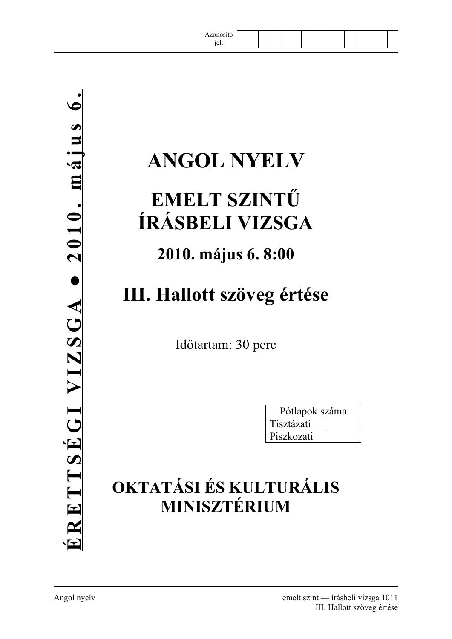| 1 M.D<br>$\sim$<br>" |  |  |  |  |  |  |  |  |  |  |  |  |  |
|----------------------|--|--|--|--|--|--|--|--|--|--|--|--|--|
|----------------------|--|--|--|--|--|--|--|--|--|--|--|--|--|

# **ANGOL NYELV**

## **EMELT SZINTŰ ÍRÁSBELI VIZSGA**

### **2010. május 6. 8:00**

## **III. Hallott szöveg értése**

Időtartam: 30 perc

| Pótlapok száma |
|----------------|
| Tisztázati     |
| Piszkozati     |

## **OKTATÁSI ÉS KULTURÁLIS MINISZTÉRIUM**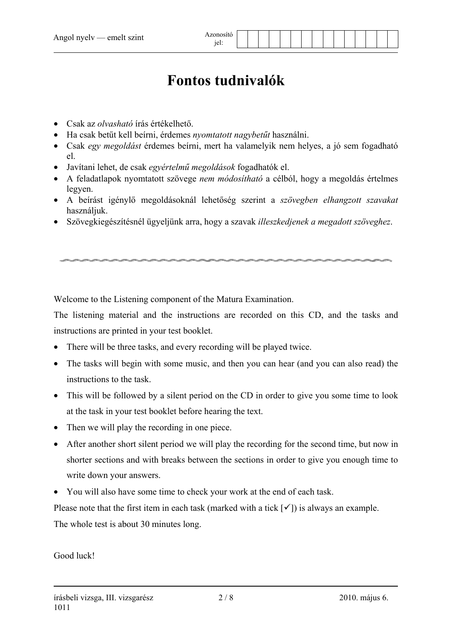### **Fontos tudnivalók**

- Csak az *olvasható* írás értékelhető.
- Ha csak betűt kell beírni, érdemes *nyomtatott nagybetűt* használni.
- Csak *egy megoldást* érdemes beírni, mert ha valamelyik nem helyes, a jó sem fogadható el.
- Javítani lehet, de csak *egyértelmű megoldások* fogadhatók el.
- A feladatlapok nyomtatott szövege *nem módosítható* a célból, hogy a megoldás értelmes legyen.
- A beírást igénylő megoldásoknál lehetőség szerint a *szövegben elhangzott szavakat* használjuk.
- Szövegkiegészítésnél ügyeljünk arra, hogy a szavak *illeszkedjenek a megadott szöveghez*.

Welcome to the Listening component of the Matura Examination.

The listening material and the instructions are recorded on this CD, and the tasks and instructions are printed in your test booklet.

- There will be three tasks, and every recording will be played twice.
- The tasks will begin with some music, and then you can hear (and you can also read) the instructions to the task.
- This will be followed by a silent period on the CD in order to give you some time to look at the task in your test booklet before hearing the text.
- Then we will play the recording in one piece.
- After another short silent period we will play the recording for the second time, but now in shorter sections and with breaks between the sections in order to give you enough time to write down your answers.
- You will also have some time to check your work at the end of each task.

Please note that the first item in each task (marked with a tick  $[\checkmark]$ ) is always an example.

The whole test is about 30 minutes long.

Good luck!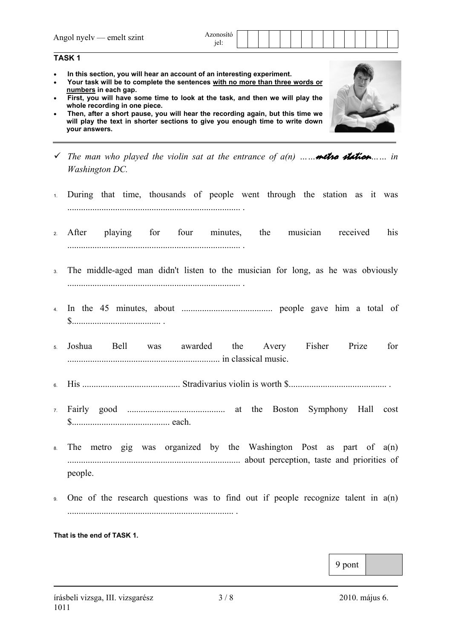| Angol nyelv — emelt szint | Azonosito<br>$\mathbf{1}$<br>IVI. |  |  |  |  |  |  |  |  |
|---------------------------|-----------------------------------|--|--|--|--|--|--|--|--|
|                           |                                   |  |  |  |  |  |  |  |  |

#### **TASK 1**

- **In this section, you will hear an account of an interesting experiment.**
- **Your task will be to complete the sentences with no more than three words or numbers in each gap.**
- **First, you will have some time to look at the task, and then we will play the whole recording in one piece.**
- **Then, after a short pause, you will hear the recording again, but this time we will play the text in shorter sections to give you enough time to write down your answers.**
- 9 *The man who played the violin sat at the entrance of a(n) ……*metro station*…… in Washington DC.*
- 1. During that time, thousands of people went through the station as it was ............................................................................ .
- 2. After playing for four minutes, the musician received his ............................................................................ .
- 3. The middle-aged man didn't listen to the musician for long, as he was obviously ............................................................................ .
- 4. In the 45 minutes, about ........................................ people gave him a total of  $\$\ldots\ldots\ldots\ldots\ldots\ldots\ldots\ldots\ldots\ldots\ldots\ldots\ldots$
- 5. Joshua Bell was awarded the Avery Fisher Prize for ................................................................... in classical music.
- 6. His ........................................... Stradivarius violin is worth \$........................................... .
- 7. Fairly good ........................................... at the Boston Symphony Hall cost \$........................................... each.
- 8. The metro gig was organized by the Washington Post as part of  $a(n)$ ............................................................................ about perception, taste and priorities of people.
- One of the research questions was to find out if people recognize talent in  $a(n)$ ......................................................................... .

**That is the end of TASK 1.**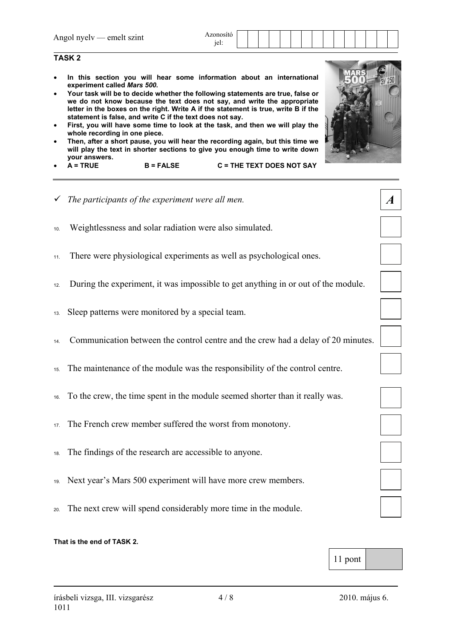| írásbeli vizsga, III. vizsgarész |  |
|----------------------------------|--|
| 1011                             |  |

#### • **In this section you will hear some information about an international experiment called** *Mars 500***.**  • **Your task will be to decide whether the following statements are true, false or we do not know because the text does not say, and write the appropriate letter in the boxes on the right. Write A if the statement is true, write B if the statement is false, and write C if the text does not say.**  • **First, you will have some time to look at the task, and then we will play the whole recording in one piece.**  • **Then, after a short pause, you will hear the recording again, but this time we will play the text in shorter sections to give you enough time to write down your answers.**  • **A = TRUE B = FALSE C = THE TEXT DOES NOT SAY**  9 *The participants of the experiment were all men.*

jel:

- 10. Weightlessness and solar radiation were also simulated.
- 11. There were physiological experiments as well as psychological ones.
- 12. During the experiment, it was impossible to get anything in or out of the module.
- 13. Sleep patterns were monitored by a special team.
- 14. Communication between the control centre and the crew had a delay of 20 minutes.
- 15. The maintenance of the module was the responsibility of the control centre.
- 16. To the crew, the time spent in the module seemed shorter than it really was.
- 17. The French crew member suffered the worst from monotony.
- 18. The findings of the research are accessible to anyone.
- 19. Next year's Mars 500 experiment will have more crew members.
- 20. The next crew will spend considerably more time in the module.

#### **That is the end of TASK 2.**

| Angol nyelv — emelt szint | Azonosító |
|---------------------------|-----------|
|                           | iel.      |

**TASK 2** 





*A* 



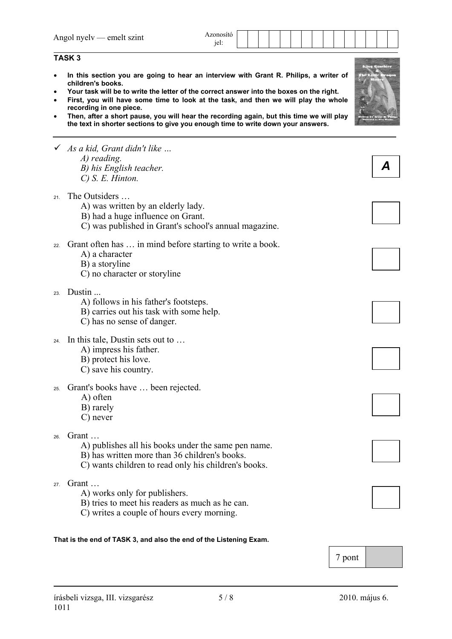|     | Angol nyelv — emelt szint                                                                                                                                                                                                                                                                                                                                                                                                                                                                                                | Azonosító<br>jel: |  |  |  |  |                      |
|-----|--------------------------------------------------------------------------------------------------------------------------------------------------------------------------------------------------------------------------------------------------------------------------------------------------------------------------------------------------------------------------------------------------------------------------------------------------------------------------------------------------------------------------|-------------------|--|--|--|--|----------------------|
|     | <b>TASK3</b><br>In this section you are going to hear an interview with Grant R. Philips, a writer of<br>children's books.<br>Your task will be to write the letter of the correct answer into the boxes on the right.<br>First, you will have some time to look at the task, and then we will play the whole<br>recording in one piece.<br>Then, after a short pause, you will hear the recording again, but this time we will play<br>the text in shorter sections to give you enough time to write down your answers. |                   |  |  |  |  | <b>King Gauthier</b> |
|     | $\checkmark$ As a kid, Grant didn't like<br>A) reading.<br>B) his English teacher.<br>$C$ ) S. E. Hinton.                                                                                                                                                                                                                                                                                                                                                                                                                |                   |  |  |  |  |                      |
| 21. | The Outsiders<br>A) was written by an elderly lady.<br>B) had a huge influence on Grant.<br>C) was published in Grant's school's annual magazine.                                                                                                                                                                                                                                                                                                                                                                        |                   |  |  |  |  |                      |
| 22. | Grant often has  in mind before starting to write a book.<br>A) a character<br>B) a storyline<br>C) no character or storyline                                                                                                                                                                                                                                                                                                                                                                                            |                   |  |  |  |  |                      |
| 23. | Dustin<br>A) follows in his father's footsteps.<br>B) carries out his task with some help.<br>C) has no sense of danger.                                                                                                                                                                                                                                                                                                                                                                                                 |                   |  |  |  |  |                      |
| 24. | In this tale, Dustin sets out to<br>A) impress his father.<br>B) protect his love.<br>C) save his country.                                                                                                                                                                                                                                                                                                                                                                                                               |                   |  |  |  |  |                      |
| 25. | Grant's books have  been rejected.<br>A) often<br>B) rarely<br>C) never                                                                                                                                                                                                                                                                                                                                                                                                                                                  |                   |  |  |  |  |                      |
| 26. | Grant<br>A) publishes all his books under the same pen name.<br>B) has written more than 36 children's books.<br>C) wants children to read only his children's books.                                                                                                                                                                                                                                                                                                                                                    |                   |  |  |  |  |                      |
| 27. | Grant<br>A) works only for publishers.<br>B) tries to meet his readers as much as he can.<br>C) writes a couple of hours every morning.                                                                                                                                                                                                                                                                                                                                                                                  |                   |  |  |  |  |                      |
|     | That is the end of TASK 3, and also the end of the Listening Exam.                                                                                                                                                                                                                                                                                                                                                                                                                                                       |                   |  |  |  |  |                      |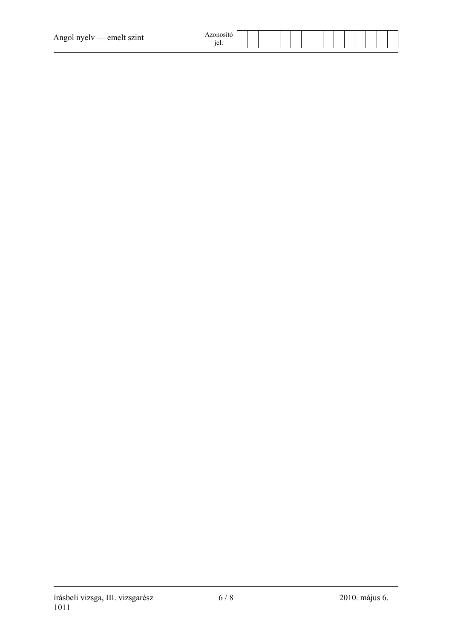| onosito<br>Angol nyelv<br>emelt szint<br>$\overline{\phantom{a}}$<br>el. |  |  |  |  |  |  |  |  |  |  |  |  |  |  |  |  |
|--------------------------------------------------------------------------|--|--|--|--|--|--|--|--|--|--|--|--|--|--|--|--|
|--------------------------------------------------------------------------|--|--|--|--|--|--|--|--|--|--|--|--|--|--|--|--|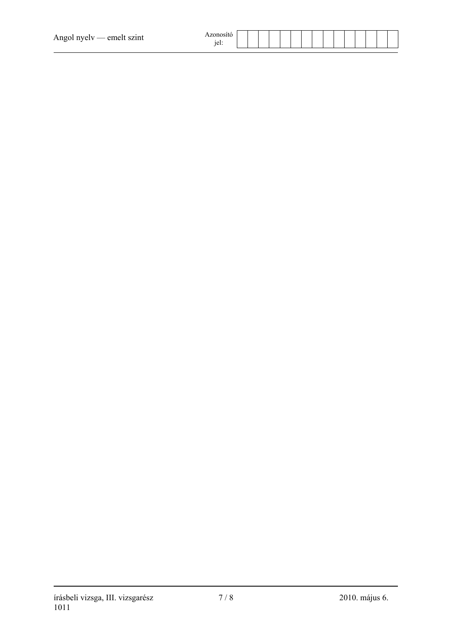| onosito<br>Angol nyelv<br>emelt szint<br>$\overline{\phantom{a}}$<br>el. |  |  |  |  |  |  |  |  |  |  |  |  |  |  |  |  |
|--------------------------------------------------------------------------|--|--|--|--|--|--|--|--|--|--|--|--|--|--|--|--|
|--------------------------------------------------------------------------|--|--|--|--|--|--|--|--|--|--|--|--|--|--|--|--|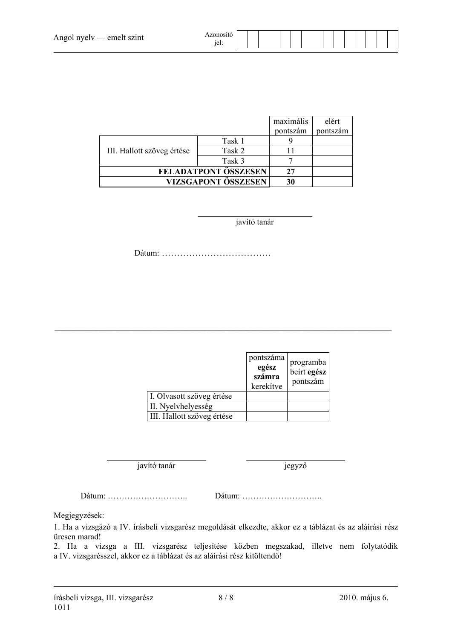| ≀ <del>o</del> m∩c<br><i>L</i> LOROSITO<br> |  |  |  |  |  |  |  |  |  |  |  |  |  |  |  |
|---------------------------------------------|--|--|--|--|--|--|--|--|--|--|--|--|--|--|--|
|---------------------------------------------|--|--|--|--|--|--|--|--|--|--|--|--|--|--|--|

|                            |                            | maximális | elért    |  |  |  |
|----------------------------|----------------------------|-----------|----------|--|--|--|
|                            |                            | pontszám  | pontszám |  |  |  |
|                            | Task 1                     |           |          |  |  |  |
| III. Hallott szöveg értése | Task 2                     |           |          |  |  |  |
|                            | Task 3                     |           |          |  |  |  |
|                            | FELADATPONT ÖSSZESEN       |           |          |  |  |  |
|                            | <b>VIZSGAPONT ÖSSZESEN</b> | 30        |          |  |  |  |

javító tanár

Dátum: ………………………………

|                            | pontszáma<br>egész<br>számra<br>kerekítve | programba<br>beirt egész<br>pontszám |
|----------------------------|-------------------------------------------|--------------------------------------|
| I. Olvasott szöveg értése  |                                           |                                      |
| II. Nyelvhelyesség         |                                           |                                      |
| III. Hallott szöveg értése |                                           |                                      |

 $\mathcal{L}_\text{max} = \frac{1}{2} \sum_{i=1}^n \mathcal{L}_\text{max}(\mathbf{z}_i - \mathbf{z}_i)$ 

javító tanár jegyző

Dátum: ……………………….. Dátum: ………………………..

Megjegyzések:

1. Ha a vizsgázó a IV. írásbeli vizsgarész megoldását elkezdte, akkor ez a táblázat és az aláírási rész üresen marad!

2. Ha a vizsga a III. vizsgarész teljesítése közben megszakad, illetve nem folytatódik a IV. vizsgarésszel, akkor ez a táblázat és az aláírási rész kitöltendő!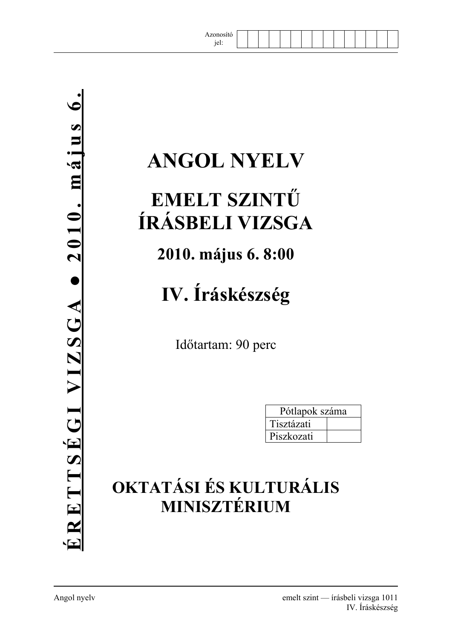| 10. | Azonosító |
|-----|-----------|
|-----|-----------|

# **ANGOL NYELV**

## **EMELT SZINTŰ ÍRÁSBELI VIZSGA**

### **2010. május 6. 8:00**

# **IV. Íráskészség**

Időtartam: 90 perc

| Pótlapok száma |  |
|----------------|--|
| Tisztázati     |  |
| Piszkozati     |  |

## **OKTATÁSI ÉS KULTURÁLIS MINISZTÉRIUM**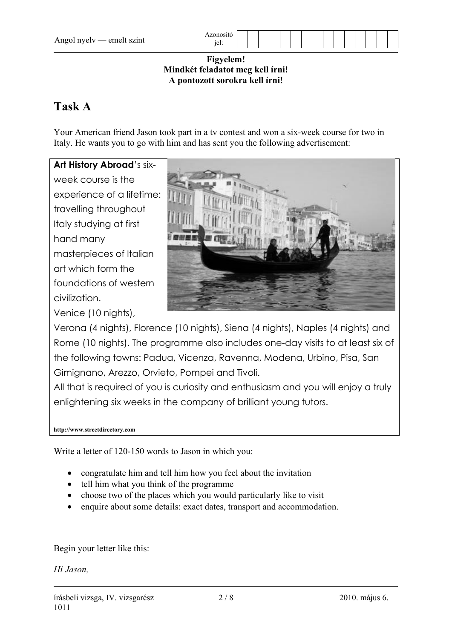

#### **Figyelem! Mindkét feladatot meg kell írni! A pontozott sorokra kell írni!**

#### **Task A**

Your American friend Jason took part in a tv contest and won a six-week course for two in Italy. He wants you to go with him and has sent you the following advertisement:

**Art History Abroad**'s six-

week course is the experience of a lifetime: travelling throughout Italy studying at first hand many masterpieces of Italian art which form the foundations of western civilization.

Venice (10 nights),



Verona (4 nights), Florence (10 nights), Siena (4 nights), Naples (4 nights) and Rome (10 nights). The programme also includes one-day visits to at least six of the following towns: Padua, Vicenza, Ravenna, Modena, Urbino, Pisa, San Gimignano, Arezzo, Orvieto, Pompei and Tivoli.

All that is required of you is curiosity and enthusiasm and you will enjoy a truly enlightening six weeks in the company of brilliant young tutors.

**http://www.streetdirectory.com**

Write a letter of 120-150 words to Jason in which you:

- congratulate him and tell him how you feel about the invitation
- tell him what you think of the programme
- choose two of the places which you would particularly like to visit
- enquire about some details: exact dates, transport and accommodation.

Begin your letter like this:

*Hi Jason,*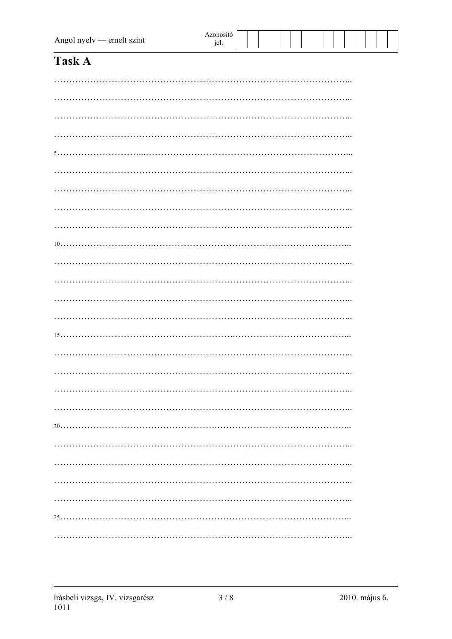| Angol nyelv — emelt szint | Azonosító<br>jel: |  |  |  |  |  |  |  |
|---------------------------|-------------------|--|--|--|--|--|--|--|
| Task A                    |                   |  |  |  |  |  |  |  |
|                           |                   |  |  |  |  |  |  |  |
|                           |                   |  |  |  |  |  |  |  |
|                           |                   |  |  |  |  |  |  |  |
|                           |                   |  |  |  |  |  |  |  |
|                           |                   |  |  |  |  |  |  |  |
|                           |                   |  |  |  |  |  |  |  |
|                           |                   |  |  |  |  |  |  |  |
|                           |                   |  |  |  |  |  |  |  |
|                           |                   |  |  |  |  |  |  |  |
|                           |                   |  |  |  |  |  |  |  |
|                           |                   |  |  |  |  |  |  |  |
|                           |                   |  |  |  |  |  |  |  |
|                           |                   |  |  |  |  |  |  |  |
|                           |                   |  |  |  |  |  |  |  |
|                           |                   |  |  |  |  |  |  |  |
|                           |                   |  |  |  |  |  |  |  |
|                           |                   |  |  |  |  |  |  |  |
|                           |                   |  |  |  |  |  |  |  |
|                           |                   |  |  |  |  |  |  |  |
|                           |                   |  |  |  |  |  |  |  |
|                           |                   |  |  |  |  |  |  |  |
|                           |                   |  |  |  |  |  |  |  |
| 25                        |                   |  |  |  |  |  |  |  |
|                           |                   |  |  |  |  |  |  |  |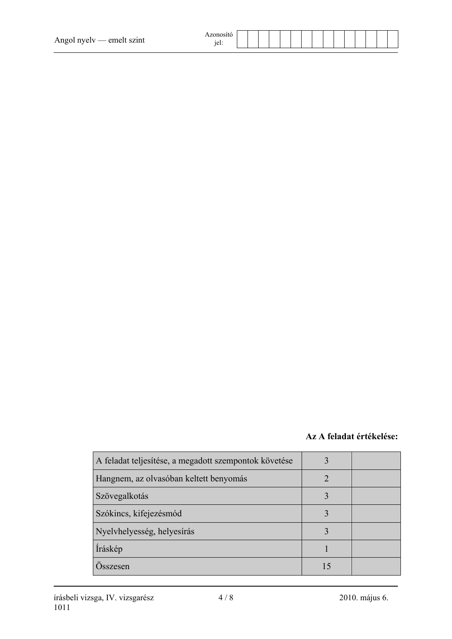#### **Az A feladat értékelése:**

| A feladat teljesítése, a megadott szempontok követése |   |  |
|-------------------------------------------------------|---|--|
| Hangnem, az olvasóban keltett benyomás                |   |  |
| Szövegalkotás                                         |   |  |
| Szókincs, kifejezésmód                                | 3 |  |
| Nyelvhelyesség, helyesírás                            |   |  |
| Íráskép                                               |   |  |
| sszesen                                               |   |  |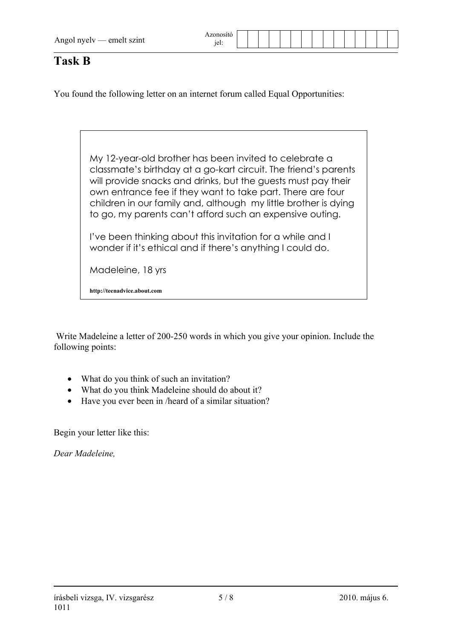| Azonosító<br>٠     |  |  |  |  |  |  |  |  |
|--------------------|--|--|--|--|--|--|--|--|
| $1\triangle$<br>u. |  |  |  |  |  |  |  |  |

#### **Task B**

You found the following letter on an internet forum called Equal Opportunities:

My 12-year-old brother has been invited to celebrate a classmate's birthday at a go-kart circuit. The friend's parents will provide snacks and drinks, but the guests must pay their own entrance fee if they want to take part. There are four children in our family and, although my little brother is dying to go, my parents can't afford such an expensive outing.

I've been thinking about this invitation for a while and I wonder if it's ethical and if there's anything I could do.

Madeleine, 18 yrs

**http://teenadvice.about.com**

 Write Madeleine a letter of 200-250 words in which you give your opinion. Include the following points:

- What do you think of such an invitation?
- What do you think Madeleine should do about it?
- Have you ever been in /heard of a similar situation?

Begin your letter like this:

*Dear Madeleine,*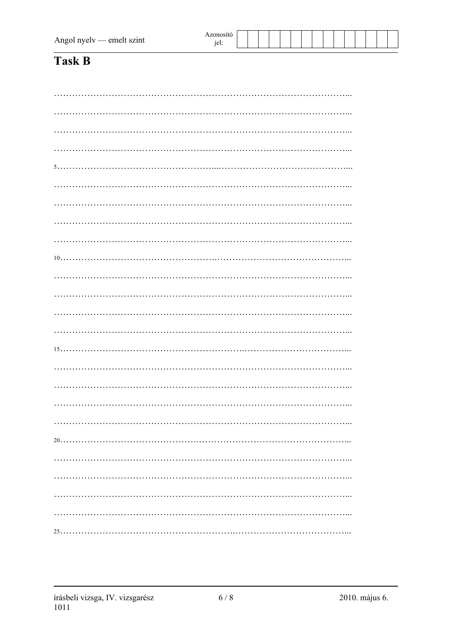| $\sim$ $\sim$ $\sim$<br>7<br><b>ALUINSIN</b><br>$\cdots$ |  |  |  |  |  |  |  |  |  |  |  |  |  |  |  |
|----------------------------------------------------------|--|--|--|--|--|--|--|--|--|--|--|--|--|--|--|
|----------------------------------------------------------|--|--|--|--|--|--|--|--|--|--|--|--|--|--|--|

### Task B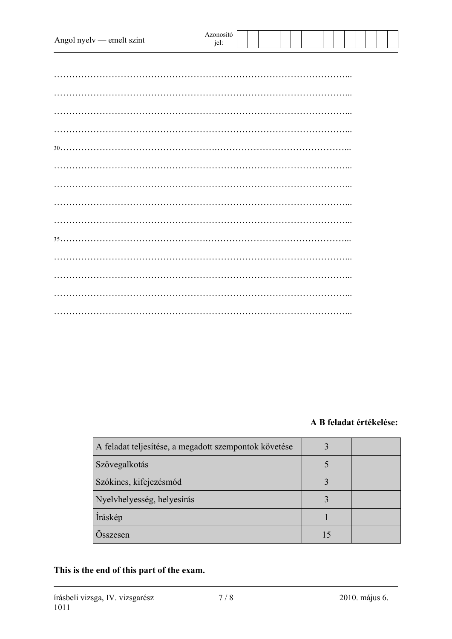| Angol nyelv — emelt szint | Azonosító<br>jel: |  |  |  |  |  |  |  |
|---------------------------|-------------------|--|--|--|--|--|--|--|
|                           |                   |  |  |  |  |  |  |  |
|                           |                   |  |  |  |  |  |  |  |
|                           |                   |  |  |  |  |  |  |  |
|                           |                   |  |  |  |  |  |  |  |
|                           |                   |  |  |  |  |  |  |  |
|                           |                   |  |  |  |  |  |  |  |
|                           |                   |  |  |  |  |  |  |  |
|                           |                   |  |  |  |  |  |  |  |
|                           |                   |  |  |  |  |  |  |  |
|                           |                   |  |  |  |  |  |  |  |
|                           |                   |  |  |  |  |  |  |  |
|                           |                   |  |  |  |  |  |  |  |
|                           |                   |  |  |  |  |  |  |  |
|                           |                   |  |  |  |  |  |  |  |
|                           |                   |  |  |  |  |  |  |  |

#### **A B feladat értékelése:**

| A feladat teljesítése, a megadott szempontok követése |  |
|-------------------------------------------------------|--|
| Szövegalkotás                                         |  |
| Szókincs, kifejezésmód                                |  |
| Nyelvhelyesség, helyesírás                            |  |
| Íráskép                                               |  |
| <b>Dsszesen</b>                                       |  |

#### **This is the end of this part of the exam.**